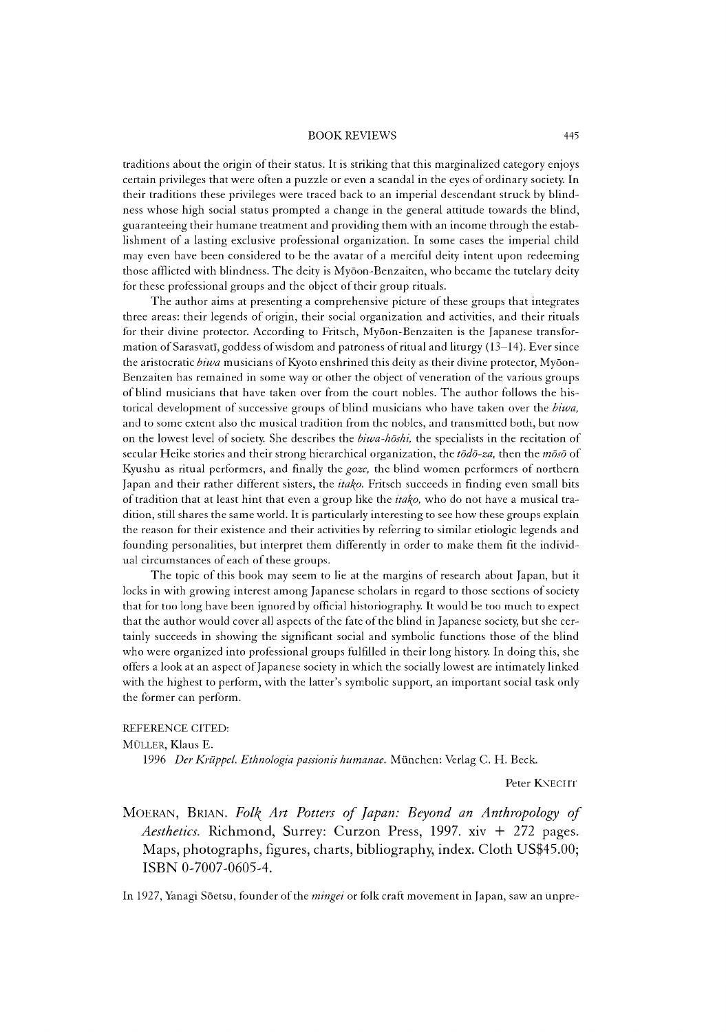## BOOK REVIEWS 445

traditions about the origin of their status. It is striking that this marginalized category enjoys certain privileges that were often a puzzle or even a scandal in the eyes of ordinary society. In their traditions these privileges were traced back to an imperial descendant struck by blindness whose high social status prompted a change in the general attitude towards the blind, guaranteeing their humane treatment and providing them with an income through the establishment of a lasting exclusive professional organization. In some cases the imperial child may even have been considered to be the avatar of a merciful deity intent upon redeeming those afflicted with blindness. The deity is Myoon-Benzaiten, who became the tutelary deity for these professional groups and the object of their group rituals.

The author aims at presenting a comprehensive picture of these groups that integrates three areas: their legends of origin, their social organization and activities, and their rituals for their divine protector. According to Fritsch, Myoon-Benzaiten is the Japanese transformation of Sarasvati, goddess of wisdom and patroness of ritual and liturgy (13—14). Ever since the aristocratic *biwa* musicians of Kyoto enshrined this deity as their divine protector, Myoon-Benzaiten has remained in some way or other the object of veneration of the various groups of blind musicians that have taken over from the court nobles. The author follows the historical development of successive groups of blind musicians who have taken over the *biwa,* and to some extent also the musical tradition from the nobles, and transmitted both, but now on the lowest level of society. She describes the *biwa-hdshi,* the specialists in the recitation of secular Heike stories and their strong hierarchical organization, the *todo-za*, then the *moso* of Kyushu as ritual performers, and finally the *goze,* the blind women performers of northern Japan and their rather different sisters, the *itako*. Fritsch succeeds in finding even small bits of tradition that at least hint that even a group like the *ita\o,* who do not have a musical tradition, still shares the same world. It is particularly interesting to see how these groups explain the reason for their existence and their activities by referring to similar etiologic legends and founding personalities, but interpret them differently in order to make them fit the individual circumstances of each of these groups.

The topic of this book may seem to lie at the margins of research about Japan, but it locks in with growing interest among Japanese scholars in regard to those sections of society that for too long have been ignored by official historiography. It would be too much to expect that the author would cover all aspects of the fate of the blind in Japanese society, but she certainly succeeds in showing the significant social and symbolic functions those of the blind who were organized into professional groups fulfilled in their long history. In doing this, she offers a look at an aspect of Japanese society in which the socially lowest are intimately linked with the highest to perform, with the latter's symbolic support, an important social task only the former can perform.

## REFERENCE CITED:

MÜLLER, Klaus E.

1996 *Der Kriippel. Ethnologia passionis humanae.* Miinchen: Verlag C. H. Beck.

Peter KNECHT

MOERAN, BRIAN. Folk Art Potters of Japan: Beyond an Anthropology of *Aesthetics.* Richmond, Surrey: Curzon Press, 1997. xiv + 272 pages. Maps, photographs, figures, charts, bibliography, index. Cloth US\$45.00; ISBN 0-7007-0605-4.

In 1927, Yanagi Sōetsu, founder of the *mingei* or folk craft movement in Japan, saw an unpre-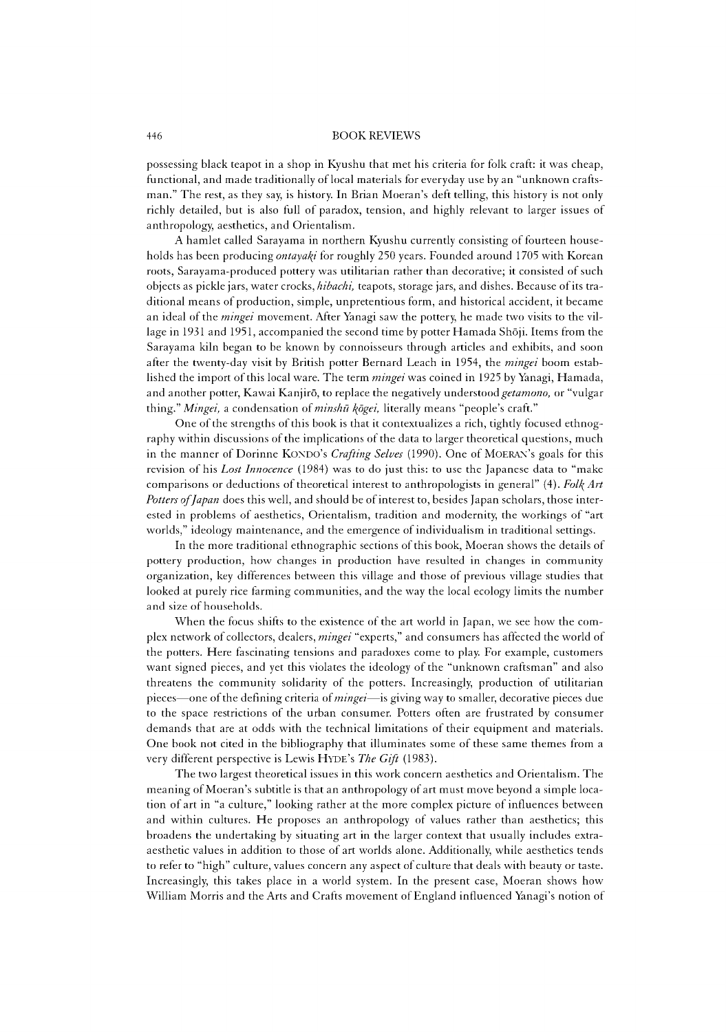## 446 BOOK REVIEWS

possessing black teapot in a shop in Kyushu that met his criteria for folk craft: it was cheap, functional, and made traditionally of local materials for everyday use by an "unknown craftsman." The rest, as they say, is history. In Brian Moeran's deft telling, this history is not only richly detailed, but is also full of paradox, tension, and highly relevant to larger issues of anthropology, aesthetics, and Orientalism.

A hamlet called Sarayama in northern Kyushu currently consisting of fourteen households has been producing *ontayaki* for roughly 250 years. Founded around 1705 with Korean roots, Sarayama-produced pottery was utilitarian rather than decorative; it consisted of such objects as pickle jars, water crocks, *hibachi,* teapots, storage jars, and dishes. Because of its traditional means of production, simple, unpretentious form, and historical accident, it became an ideal of the *mingei* movement. After Yanagi saw the pottery, he made two visits to the village in 1931 and 1951, accompanied the second time by potter Hamada Shōji. Items from the Sarayama kiln began to be known by connoisseurs through articles and exhibits, and soon after the twenty-day visit by British potter Bernard Leach in 1954, the *mingei* boom established the import of this local ware. The term *mingei* was coined in 1925 by Yanagi, Hamada, and another potter, Kawai Kanjiro, to replace the negatively understood *getamono,* or "vulgar thing." *Mingei*, a condensation of *minshū kōgei*, literally means "people's craft."

One of the strengths of this book is that it contextualizes a rich, tightly focused ethnography within discussions of the implications of the data to larger theoretical questions, much in the manner of Dorinne KONDO's *Crafting Selves* (1990). One of MOERAN's goals for this revision of his *Lost Innocence* (1984) was to do just this: to use the Japanese data to "make comparisons or deductions of theoretical interest to anthropologists in general" (4). *Folf{Art Potters of Japan* does this well, and should be of interest to, besides Japan scholars, those interested in problems of aesthetics, Orientalism, tradition and modernity, the workings of "art worlds," ideology maintenance, and the emergence of individualism in traditional settings.

In the more traditional ethnographic sections of this book, Moeran shows the details of pottery production, how changes in production have resulted in changes in community organization, key differences between this village and those of previous village studies that looked at purely rice farming communities, and the way the local ecology limits the number and size of households.

When the focus shifts to the existence of the art world in Japan, we see how the complex network of collectors, dealers, *mingei* "experts," and consumers has affected the world of the potters. Here fascinating tensions and paradoxes come to play. For example, customers want signed pieces, and yet this violates the ideology of the "unknown craftsman" and also threatens the community solidarity of the potters. Increasingly, production of utilitarian pieces— one of the defining criteria of *mingei*— is giving way to smaller, decorative pieces due to the space restrictions of the urban consumer. Potters often are frustrated by consumer demands that are at odds with the technical limitations of their equipment and materials. One book not cited in the bibliography that illuminates some of these same themes from a very different perspective is Lewis HYDE's The Gift (1983).

The two largest theoretical issues in this work concern aesthetics and Orientalism. The meaning of Moeran's subtitle is that an anthropology of art must move beyond a simple location of art in "a culture," looking rather at the more complex picture of influences between and within cultures. He proposes an anthropology of values rather than aesthetics; this broadens the undertaking by situating art in the larger context that usually includes extraaesthetic values in addition to those of art worlds alone. Additionally, while aesthetics tends to refer to "high" culture, values concern any aspect of culture that deals with beauty or taste. Increasingly, this takes place in a world system. In the present case, Moeran shows how William Morris and the Arts and Crafts movement of England influenced Yanagi's notion of